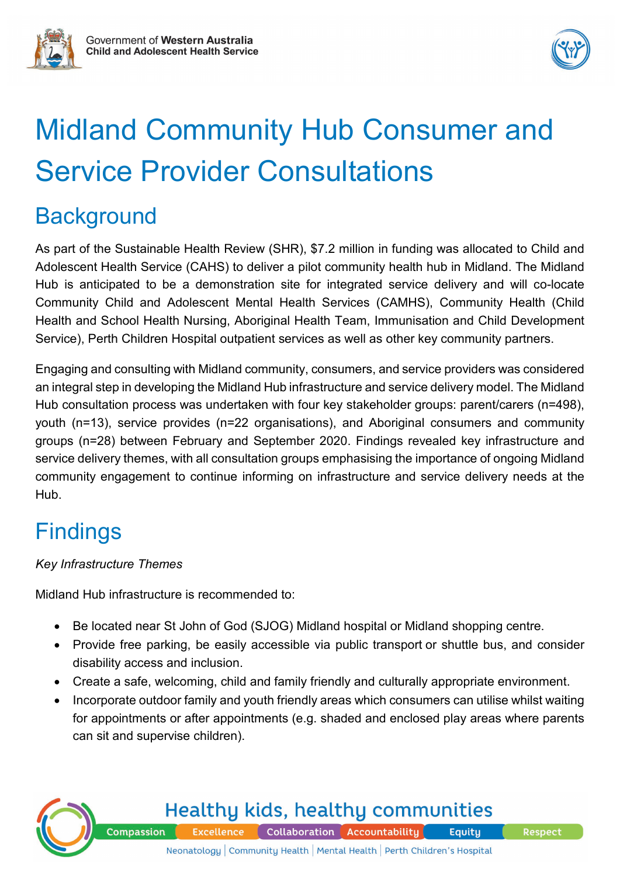



# Midland Community Hub Consumer and Service Provider Consultations

### **Background**

As part of the Sustainable Health Review (SHR), \$7.2 million in funding was allocated to Child and Adolescent Health Service (CAHS) to deliver a pilot community health hub in Midland. The Midland Hub is anticipated to be a demonstration site for integrated service delivery and will co-locate Community Child and Adolescent Mental Health Services (CAMHS), Community Health (Child Health and School Health Nursing, Aboriginal Health Team, Immunisation and Child Development Service), Perth Children Hospital outpatient services as well as other key community partners.

Engaging and consulting with Midland community, consumers, and service providers was considered an integral step in developing the Midland Hub infrastructure and service delivery model. The Midland Hub consultation process was undertaken with four key stakeholder groups: parent/carers (n=498), youth (n=13), service provides (n=22 organisations), and Aboriginal consumers and community groups (n=28) between February and September 2020. Findings revealed key infrastructure and service delivery themes, with all consultation groups emphasising the importance of ongoing Midland community engagement to continue informing on infrastructure and service delivery needs at the Hub.

## **Findings**

#### *Key Infrastructure Themes*

Midland Hub infrastructure is recommended to:

- Be located near St John of God (SJOG) Midland hospital or Midland shopping centre.
- Provide free parking, be easily accessible via public transport or shuttle bus, and consider disability access and inclusion.
- Create a safe, welcoming, child and family friendly and culturally appropriate environment.
- Incorporate outdoor family and youth friendly areas which consumers can utilise whilst waiting for appointments or after appointments (e.g. shaded and enclosed play areas where parents can sit and supervise children).



**Healthy kids, healthy communities Compassion Excellence** Collaboration Accountability Equity

**Respect**